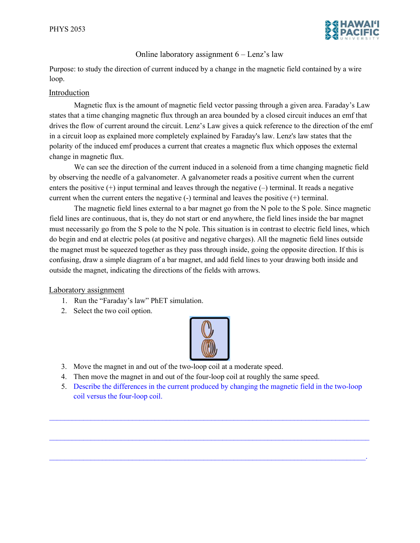

## Online laboratory assignment 6 – Lenz's law

Purpose: to study the direction of current induced by a change in the magnetic field contained by a wire loop.

## Introduction

Magnetic flux is the amount of magnetic field vector passing through a given area. Faraday's Law states that a time changing magnetic flux through an area bounded by a closed circuit induces an emf that drives the flow of current around the circuit. Lenz's Law gives a quick reference to the direction of the emf in a circuit loop as explained more completely explained by Faraday's law. Lenz's law states that the polarity of the induced emf produces a current that creates a magnetic flux which opposes the external change in magnetic flux.

We can see the direction of the current induced in a solenoid from a time changing magnetic field by observing the needle of a galvanometer. A galvanometer reads a positive current when the current enters the positive  $(+)$  input terminal and leaves through the negative  $(-)$  terminal. It reads a negative current when the current enters the negative (-) terminal and leaves the positive (+) terminal.

The magnetic field lines external to a bar magnet go from the N pole to the S pole. Since magnetic field lines are continuous, that is, they do not start or end anywhere, the field lines inside the bar magnet must necessarily go from the S pole to the N pole. This situation is in contrast to electric field lines, which do begin and end at electric poles (at positive and negative charges). All the magnetic field lines outside the magnet must be squeezed together as they pass through inside, going the opposite direction. If this is confusing, draw a simple diagram of a bar magnet, and add field lines to your drawing both inside and outside the magnet, indicating the directions of the fields with arrows.

Laboratory assignment

- 1. Run the "Faraday's law" PhET simulation.
- 2. Select the two coil option.



- 3. Move the magnet in and out of the two-loop coil at a moderate speed.
- 4. Then move the magnet in and out of the four-loop coil at roughly the same speed.
- 5. Describe the differences in the current produced by changing the magnetic field in the two-loop coil versus the four-loop coil.

 $\mathcal{L}_\text{max} = \mathcal{L}_\text{max} = \mathcal{L}_\text{max} = \mathcal{L}_\text{max} = \mathcal{L}_\text{max} = \mathcal{L}_\text{max} = \mathcal{L}_\text{max} = \mathcal{L}_\text{max} = \mathcal{L}_\text{max} = \mathcal{L}_\text{max} = \mathcal{L}_\text{max} = \mathcal{L}_\text{max} = \mathcal{L}_\text{max} = \mathcal{L}_\text{max} = \mathcal{L}_\text{max} = \mathcal{L}_\text{max} = \mathcal{L}_\text{max} = \mathcal{L}_\text{max} = \mathcal{$ 

 $\mathcal{L}_\mathcal{L} = \mathcal{L}_\mathcal{L} = \mathcal{L}_\mathcal{L} = \mathcal{L}_\mathcal{L} = \mathcal{L}_\mathcal{L} = \mathcal{L}_\mathcal{L} = \mathcal{L}_\mathcal{L} = \mathcal{L}_\mathcal{L} = \mathcal{L}_\mathcal{L} = \mathcal{L}_\mathcal{L} = \mathcal{L}_\mathcal{L} = \mathcal{L}_\mathcal{L} = \mathcal{L}_\mathcal{L} = \mathcal{L}_\mathcal{L} = \mathcal{L}_\mathcal{L} = \mathcal{L}_\mathcal{L} = \mathcal{L}_\mathcal{L}$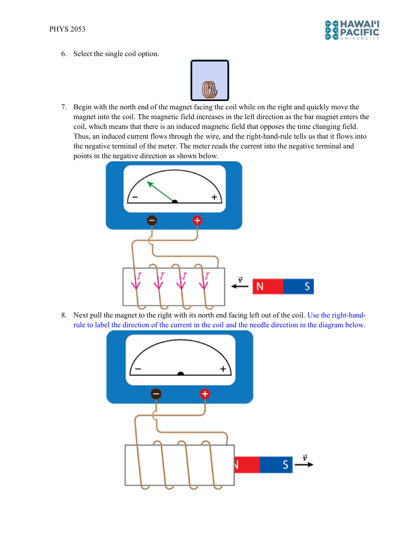

6. Select the single coil option.



7. Begin with the north end of the magnet facing the coil while on the right and quickly move the magnet into the coil. The magnetic field increases in the left direction as the bar magnet enters the coil, which means that there is an induced magnetic field that opposes the time changing field. Thus, an induced current flows through the wire, and the right-hand-rule tells us that it flows into the negative terminal of the meter. The meter reads the current into the negative terminal and points in the negative direction as shown below.



8. Next pull the magnet to the right with its north end facing left out of the coil. Use the right-handrule to label the direction of the current in the coil and the needle direction in the diagram below.

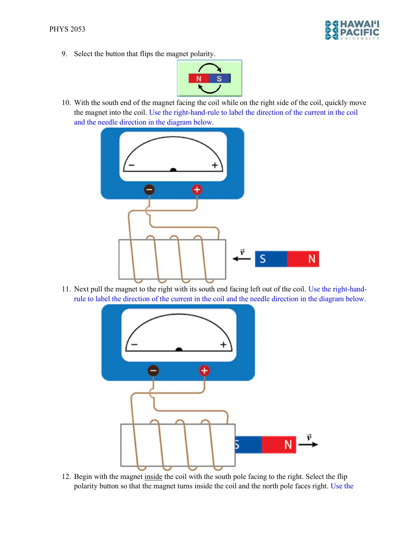

9. Select the button that flips the magnet polarity.



10. With the south end of the magnet facing the coil while on the right side of the coil, quickly move the magnet into the coil. Use the right-hand-rule to label the direction of the current in the coil and the needle direction in the diagram below.



11. Next pull the magnet to the right with its south end facing left out of the coil. Use the right-handrule to label the direction of the current in the coil and the needle direction in the diagram below.



12. Begin with the magnet inside the coil with the south pole facing to the right. Select the flip polarity button so that the magnet turns inside the coil and the north pole faces right. Use the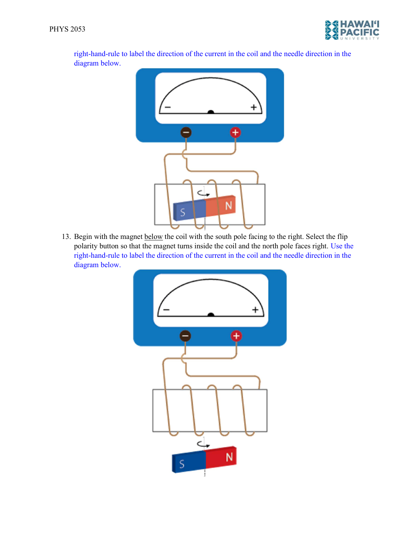

right-hand-rule to label the direction of the current in the coil and the needle direction in the diagram below.



13. Begin with the magnet below the coil with the south pole facing to the right. Select the flip polarity button so that the magnet turns inside the coil and the north pole faces right. Use the right-hand-rule to label the direction of the current in the coil and the needle direction in the diagram below.